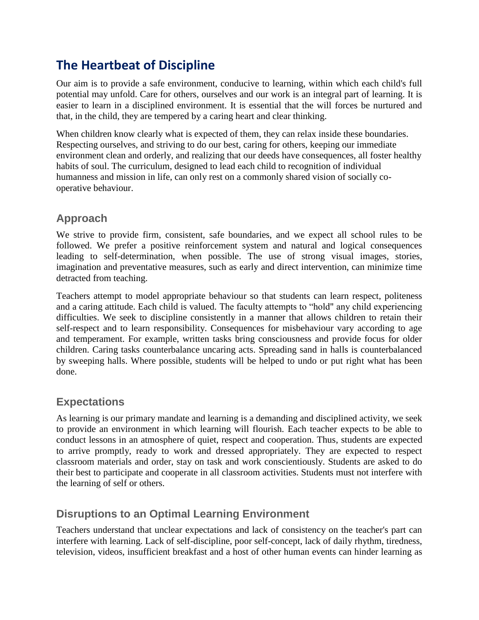# **The Heartbeat of Discipline**

Our aim is to provide a safe environment, conducive to learning, within which each child's full potential may unfold. Care for others, ourselves and our work is an integral part of learning. It is easier to learn in a disciplined environment. It is essential that the will forces be nurtured and that, in the child, they are tempered by a caring heart and clear thinking.

When children know clearly what is expected of them, they can relax inside these boundaries. Respecting ourselves, and striving to do our best, caring for others, keeping our immediate environment clean and orderly, and realizing that our deeds have consequences, all foster healthy habits of soul. The curriculum, designed to lead each child to recognition of individual humanness and mission in life, can only rest on a commonly shared vision of socially cooperative behaviour.

# **Approach**

We strive to provide firm, consistent, safe boundaries, and we expect all school rules to be followed. We prefer a positive reinforcement system and natural and logical consequences leading to self-determination, when possible. The use of strong visual images, stories, imagination and preventative measures, such as early and direct intervention, can minimize time detracted from teaching.

Teachers attempt to model appropriate behaviour so that students can learn respect, politeness and a caring attitude. Each child is valued. The faculty attempts to "hold" any child experiencing difficulties. We seek to discipline consistently in a manner that allows children to retain their self-respect and to learn responsibility. Consequences for misbehaviour vary according to age and temperament. For example, written tasks bring consciousness and provide focus for older children. Caring tasks counterbalance uncaring acts. Spreading sand in halls is counterbalanced by sweeping halls. Where possible, students will be helped to undo or put right what has been done.

# **Expectations**

As learning is our primary mandate and learning is a demanding and disciplined activity, we seek to provide an environment in which learning will flourish. Each teacher expects to be able to conduct lessons in an atmosphere of quiet, respect and cooperation. Thus, students are expected to arrive promptly, ready to work and dressed appropriately. They are expected to respect classroom materials and order, stay on task and work conscientiously. Students are asked to do their best to participate and cooperate in all classroom activities. Students must not interfere with the learning of self or others.

# **Disruptions to an Optimal Learning Environment**

Teachers understand that unclear expectations and lack of consistency on the teacher's part can interfere with learning. Lack of self-discipline, poor self-concept, lack of daily rhythm, tiredness, television, videos, insufficient breakfast and a host of other human events can hinder learning as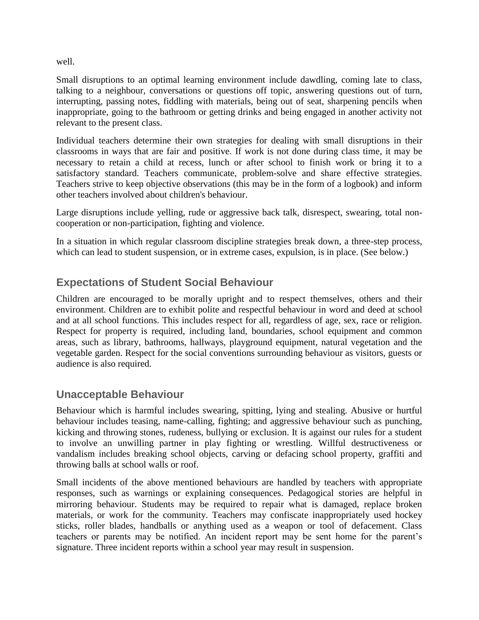well.

Small disruptions to an optimal learning environment include dawdling, coming late to class, talking to a neighbour, conversations or questions off topic, answering questions out of turn, interrupting, passing notes, fiddling with materials, being out of seat, sharpening pencils when inappropriate, going to the bathroom or getting drinks and being engaged in another activity not relevant to the present class.

Individual teachers determine their own strategies for dealing with small disruptions in their classrooms in ways that are fair and positive. If work is not done during class time, it may be necessary to retain a child at recess, lunch or after school to finish work or bring it to a satisfactory standard. Teachers communicate, problem-solve and share effective strategies. Teachers strive to keep objective observations (this may be in the form of a logbook) and inform other teachers involved about children's behaviour.

Large disruptions include yelling, rude or aggressive back talk, disrespect, swearing, total noncooperation or non-participation, fighting and violence.

In a situation in which regular classroom discipline strategies break down, a three-step process, which can lead to student suspension, or in extreme cases, expulsion, is in place. (See below.)

### **Expectations of Student Social Behaviour**

Children are encouraged to be morally upright and to respect themselves, others and their environment. Children are to exhibit polite and respectful behaviour in word and deed at school and at all school functions. This includes respect for all, regardless of age, sex, race or religion. Respect for property is required, including land, boundaries, school equipment and common areas, such as library, bathrooms, hallways, playground equipment, natural vegetation and the vegetable garden. Respect for the social conventions surrounding behaviour as visitors, guests or audience is also required.

# **Unacceptable Behaviour**

Behaviour which is harmful includes swearing, spitting, lying and stealing. Abusive or hurtful behaviour includes teasing, name-calling, fighting; and aggressive behaviour such as punching, kicking and throwing stones, rudeness, bullying or exclusion. It is against our rules for a student to involve an unwilling partner in play fighting or wrestling. Willful destructiveness or vandalism includes breaking school objects, carving or defacing school property, graffiti and throwing balls at school walls or roof.

Small incidents of the above mentioned behaviours are handled by teachers with appropriate responses, such as warnings or explaining consequences. Pedagogical stories are helpful in mirroring behaviour. Students may be required to repair what is damaged, replace broken materials, or work for the community. Teachers may confiscate inappropriately used hockey sticks, roller blades, handballs or anything used as a weapon or tool of defacement. Class teachers or parents may be notified. An incident report may be sent home for the parent's signature. Three incident reports within a school year may result in suspension.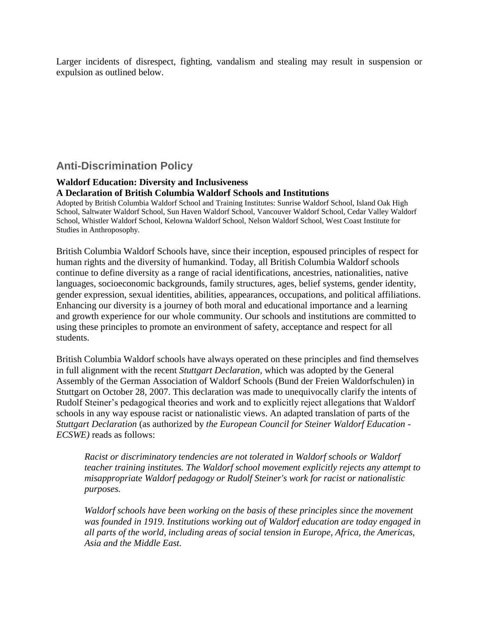Larger incidents of disrespect, fighting, vandalism and stealing may result in suspension or expulsion as outlined below.

### **Anti-Discrimination Policy**

#### **Waldorf Education: Diversity and Inclusiveness A Declaration of British Columbia Waldorf Schools and Institutions**

Adopted by British Columbia Waldorf School and Training Institutes: Sunrise Waldorf School, Island Oak High School, Saltwater Waldorf School, Sun Haven Waldorf School, Vancouver Waldorf School, Cedar Valley Waldorf School, Whistler Waldorf School, Kelowna Waldorf School, Nelson Waldorf School, West Coast Institute for Studies in Anthroposophy.

British Columbia Waldorf Schools have, since their inception, espoused principles of respect for human rights and the diversity of humankind. Today, all British Columbia Waldorf schools continue to define diversity as a range of racial identifications, ancestries, nationalities, native languages, socioeconomic backgrounds, family structures, ages, belief systems, gender identity, gender expression, sexual identities, abilities, appearances, occupations, and political affiliations. Enhancing our diversity is a journey of both moral and educational importance and a learning and growth experience for our whole community. Our schools and institutions are committed to using these principles to promote an environment of safety, acceptance and respect for all students.

British Columbia Waldorf schools have always operated on these principles and find themselves in full alignment with the recent *Stuttgart Declaration,* which was adopted by the General Assembly of the German Association of Waldorf Schools (Bund der Freien Waldorfschulen) in Stuttgart on October 28, 2007. This declaration was made to unequivocally clarify the intents of Rudolf Steiner's pedagogical theories and work and to explicitly reject allegations that Waldorf schools in any way espouse racist or nationalistic views. An adapted translation of parts of the *Stuttgart Declaration* (as authorized by *the European Council for Steiner Waldorf Education - ECSWE)* reads as follows:

*Racist or discriminatory tendencies are not tolerated in Waldorf schools or Waldorf teacher training institutes. The Waldorf school movement explicitly rejects any attempt to misappropriate Waldorf pedagogy or Rudolf Steiner's work for racist or nationalistic purposes.*

*Waldorf schools have been working on the basis of these principles since the movement was founded in 1919. Institutions working out of Waldorf education are today engaged in all parts of the world, including areas of social tension in Europe, Africa, the Americas, Asia and the Middle East.*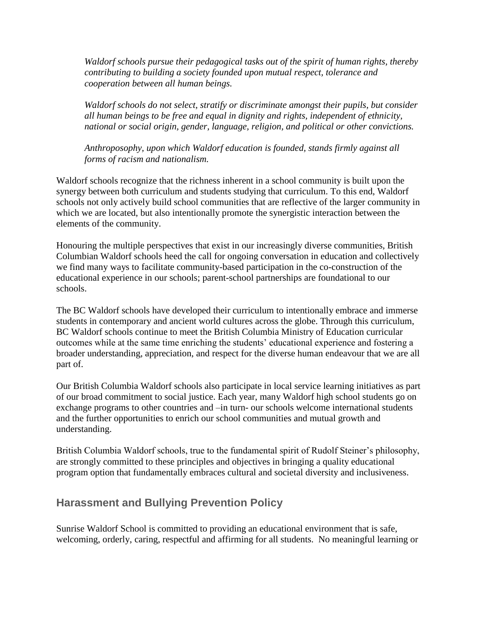*Waldorf schools pursue their pedagogical tasks out of the spirit of human rights, thereby contributing to building a society founded upon mutual respect, tolerance and cooperation between all human beings.*

*Waldorf schools do not select, stratify or discriminate amongst their pupils, but consider all human beings to be free and equal in dignity and rights, independent of ethnicity, national or social origin, gender, language, religion, and political or other convictions.*

*Anthroposophy, upon which Waldorf education is founded, stands firmly against all forms of racism and nationalism.*

Waldorf schools recognize that the richness inherent in a school community is built upon the synergy between both curriculum and students studying that curriculum. To this end, Waldorf schools not only actively build school communities that are reflective of the larger community in which we are located, but also intentionally promote the synergistic interaction between the elements of the community.

Honouring the multiple perspectives that exist in our increasingly diverse communities, British Columbian Waldorf schools heed the call for ongoing conversation in education and collectively we find many ways to facilitate community-based participation in the co-construction of the educational experience in our schools; parent-school partnerships are foundational to our schools.

The BC Waldorf schools have developed their curriculum to intentionally embrace and immerse students in contemporary and ancient world cultures across the globe. Through this curriculum, BC Waldorf schools continue to meet the British Columbia Ministry of Education curricular outcomes while at the same time enriching the students' educational experience and fostering a broader understanding, appreciation, and respect for the diverse human endeavour that we are all part of.

Our British Columbia Waldorf schools also participate in local service learning initiatives as part of our broad commitment to social justice. Each year, many Waldorf high school students go on exchange programs to other countries and –in turn- our schools welcome international students and the further opportunities to enrich our school communities and mutual growth and understanding.

British Columbia Waldorf schools, true to the fundamental spirit of Rudolf Steiner's philosophy, are strongly committed to these principles and objectives in bringing a quality educational program option that fundamentally embraces cultural and societal diversity and inclusiveness.

# **Harassment and Bullying Prevention Policy**

Sunrise Waldorf School is committed to providing an educational environment that is safe, welcoming, orderly, caring, respectful and affirming for all students. No meaningful learning or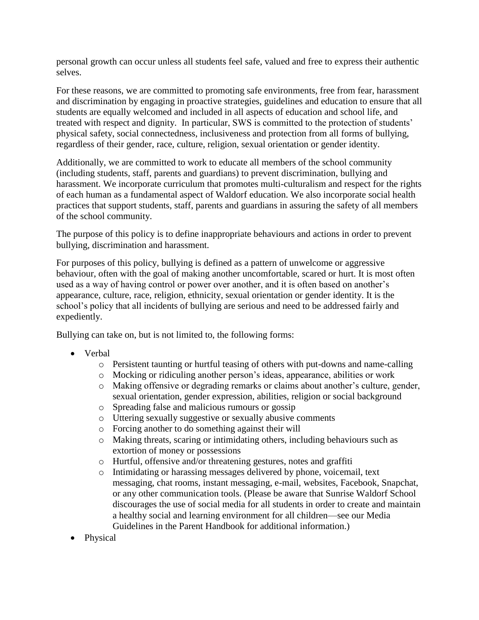personal growth can occur unless all students feel safe, valued and free to express their authentic selves.

For these reasons, we are committed to promoting safe environments, free from fear, harassment and discrimination by engaging in proactive strategies, guidelines and education to ensure that all students are equally welcomed and included in all aspects of education and school life, and treated with respect and dignity. In particular, SWS is committed to the protection of students' physical safety, social connectedness, inclusiveness and protection from all forms of bullying, regardless of their gender, race, culture, religion, sexual orientation or gender identity.

Additionally, we are committed to work to educate all members of the school community (including students, staff, parents and guardians) to prevent discrimination, bullying and harassment. We incorporate curriculum that promotes multi-culturalism and respect for the rights of each human as a fundamental aspect of Waldorf education. We also incorporate social health practices that support students, staff, parents and guardians in assuring the safety of all members of the school community.

The purpose of this policy is to define inappropriate behaviours and actions in order to prevent bullying, discrimination and harassment.

For purposes of this policy, bullying is defined as a pattern of unwelcome or aggressive behaviour, often with the goal of making another uncomfortable, scared or hurt. It is most often used as a way of having control or power over another, and it is often based on another's appearance, culture, race, religion, ethnicity, sexual orientation or gender identity. It is the school's policy that all incidents of bullying are serious and need to be addressed fairly and expediently.

Bullying can take on, but is not limited to, the following forms:

- Verbal
	- o Persistent taunting or hurtful teasing of others with put-downs and name-calling
	- o Mocking or ridiculing another person's ideas, appearance, abilities or work
	- o Making offensive or degrading remarks or claims about another's culture, gender, sexual orientation, gender expression, abilities, religion or social background
	- o Spreading false and malicious rumours or gossip
	- o Uttering sexually suggestive or sexually abusive comments
	- o Forcing another to do something against their will
	- o Making threats, scaring or intimidating others, including behaviours such as extortion of money or possessions
	- o Hurtful, offensive and/or threatening gestures, notes and graffiti
	- o Intimidating or harassing messages delivered by phone, voicemail, text messaging, chat rooms, instant messaging, e-mail, websites, Facebook, Snapchat, or any other communication tools. (Please be aware that Sunrise Waldorf School discourages the use of social media for all students in order to create and maintain a healthy social and learning environment for all children—see our Media Guidelines in the Parent Handbook for additional information.)
- Physical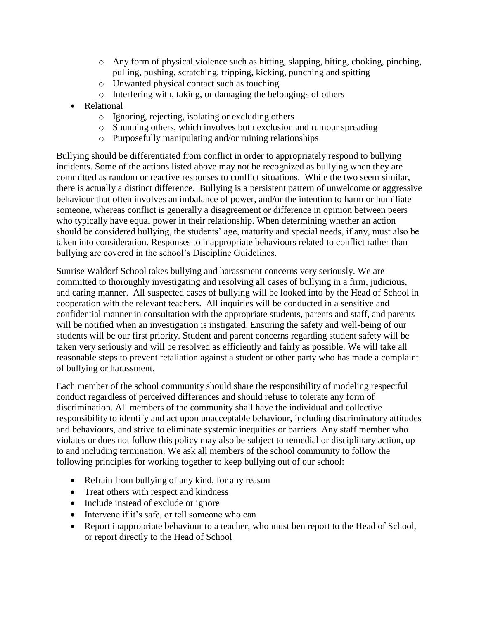- $\circ$  Any form of physical violence such as hitting, slapping, biting, choking, pinching, pulling, pushing, scratching, tripping, kicking, punching and spitting
- o Unwanted physical contact such as touching
- o Interfering with, taking, or damaging the belongings of others
- Relational
	- o Ignoring, rejecting, isolating or excluding others
	- o Shunning others, which involves both exclusion and rumour spreading
	- o Purposefully manipulating and/or ruining relationships

Bullying should be differentiated from conflict in order to appropriately respond to bullying incidents. Some of the actions listed above may not be recognized as bullying when they are committed as random or reactive responses to conflict situations. While the two seem similar, there is actually a distinct difference. Bullying is a persistent pattern of unwelcome or aggressive behaviour that often involves an imbalance of power, and/or the intention to harm or humiliate someone, whereas conflict is generally a disagreement or difference in opinion between peers who typically have equal power in their relationship. When determining whether an action should be considered bullying, the students' age, maturity and special needs, if any, must also be taken into consideration. Responses to inappropriate behaviours related to conflict rather than bullying are covered in the school's Discipline Guidelines.

Sunrise Waldorf School takes bullying and harassment concerns very seriously. We are committed to thoroughly investigating and resolving all cases of bullying in a firm, judicious, and caring manner. All suspected cases of bullying will be looked into by the Head of School in cooperation with the relevant teachers. All inquiries will be conducted in a sensitive and confidential manner in consultation with the appropriate students, parents and staff, and parents will be notified when an investigation is instigated. Ensuring the safety and well-being of our students will be our first priority. Student and parent concerns regarding student safety will be taken very seriously and will be resolved as efficiently and fairly as possible. We will take all reasonable steps to prevent retaliation against a student or other party who has made a complaint of bullying or harassment.

Each member of the school community should share the responsibility of modeling respectful conduct regardless of perceived differences and should refuse to tolerate any form of discrimination. All members of the community shall have the individual and collective responsibility to identify and act upon unacceptable behaviour, including discriminatory attitudes and behaviours, and strive to eliminate systemic inequities or barriers. Any staff member who violates or does not follow this policy may also be subject to remedial or disciplinary action, up to and including termination. We ask all members of the school community to follow the following principles for working together to keep bullying out of our school:

- Refrain from bullying of any kind, for any reason
- Treat others with respect and kindness
- Include instead of exclude or ignore
- Intervene if it's safe, or tell someone who can
- Report inappropriate behaviour to a teacher, who must ben report to the Head of School, or report directly to the Head of School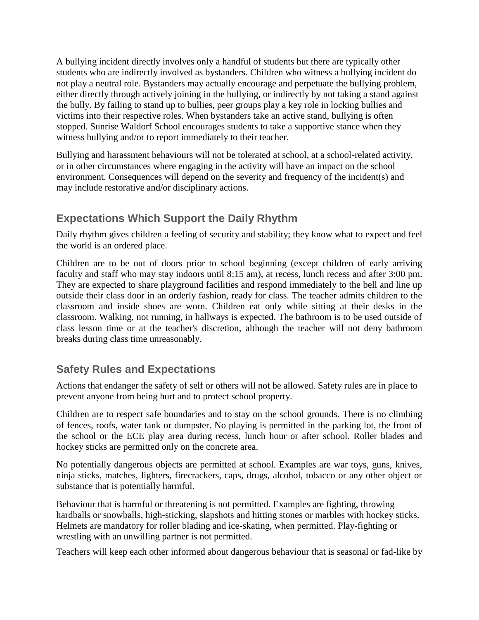A bullying incident directly involves only a handful of students but there are typically other students who are indirectly involved as bystanders. Children who witness a bullying incident do not play a neutral role. Bystanders may actually encourage and perpetuate the bullying problem, either directly through actively joining in the bullying, or indirectly by not taking a stand against the bully. By failing to stand up to bullies, peer groups play a key role in locking bullies and victims into their respective roles. When bystanders take an active stand, bullying is often stopped. Sunrise Waldorf School encourages students to take a supportive stance when they witness bullying and/or to report immediately to their teacher.

Bullying and harassment behaviours will not be tolerated at school, at a school-related activity, or in other circumstances where engaging in the activity will have an impact on the school environment. Consequences will depend on the severity and frequency of the incident(s) and may include restorative and/or disciplinary actions.

# **Expectations Which Support the Daily Rhythm**

Daily rhythm gives children a feeling of security and stability; they know what to expect and feel the world is an ordered place.

Children are to be out of doors prior to school beginning (except children of early arriving faculty and staff who may stay indoors until 8:15 am), at recess, lunch recess and after 3:00 pm. They are expected to share playground facilities and respond immediately to the bell and line up outside their class door in an orderly fashion, ready for class. The teacher admits children to the classroom and inside shoes are worn. Children eat only while sitting at their desks in the classroom. Walking, not running, in hallways is expected. The bathroom is to be used outside of class lesson time or at the teacher's discretion, although the teacher will not deny bathroom breaks during class time unreasonably.

# **Safety Rules and Expectations**

Actions that endanger the safety of self or others will not be allowed. Safety rules are in place to prevent anyone from being hurt and to protect school property.

Children are to respect safe boundaries and to stay on the school grounds. There is no climbing of fences, roofs, water tank or dumpster. No playing is permitted in the parking lot, the front of the school or the ECE play area during recess, lunch hour or after school. Roller blades and hockey sticks are permitted only on the concrete area.

No potentially dangerous objects are permitted at school. Examples are war toys, guns, knives, ninja sticks, matches, lighters, firecrackers, caps, drugs, alcohol, tobacco or any other object or substance that is potentially harmful.

Behaviour that is harmful or threatening is not permitted. Examples are fighting, throwing hardballs or snowballs, high-sticking, slapshots and hitting stones or marbles with hockey sticks. Helmets are mandatory for roller blading and ice-skating, when permitted. Play-fighting or wrestling with an unwilling partner is not permitted.

Teachers will keep each other informed about dangerous behaviour that is seasonal or fad-like by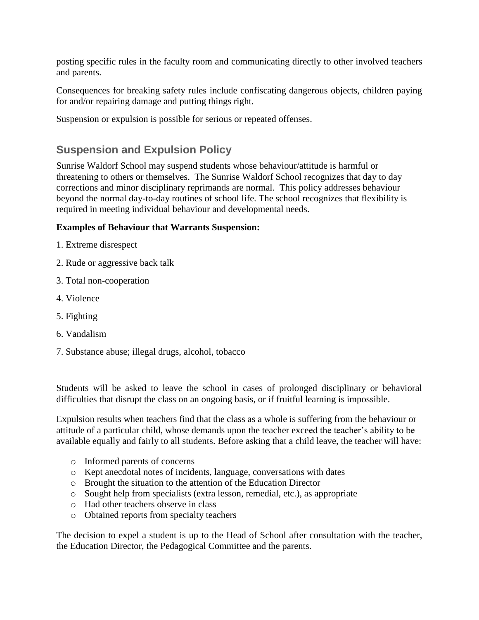posting specific rules in the faculty room and communicating directly to other involved teachers and parents.

Consequences for breaking safety rules include confiscating dangerous objects, children paying for and/or repairing damage and putting things right.

Suspension or expulsion is possible for serious or repeated offenses.

# **Suspension and Expulsion Policy**

Sunrise Waldorf School may suspend students whose behaviour/attitude is harmful or threatening to others or themselves. The Sunrise Waldorf School recognizes that day to day corrections and minor disciplinary reprimands are normal. This policy addresses behaviour beyond the normal day-to-day routines of school life. The school recognizes that flexibility is required in meeting individual behaviour and developmental needs.

#### **Examples of Behaviour that Warrants Suspension:**

- 1. Extreme disrespect
- 2. Rude or aggressive back talk
- 3. Total non-cooperation
- 4. Violence
- 5. Fighting
- 6. Vandalism
- 7. Substance abuse; illegal drugs, alcohol, tobacco

Students will be asked to leave the school in cases of prolonged disciplinary or behavioral difficulties that disrupt the class on an ongoing basis, or if fruitful learning is impossible.

Expulsion results when teachers find that the class as a whole is suffering from the behaviour or attitude of a particular child, whose demands upon the teacher exceed the teacher's ability to be available equally and fairly to all students. Before asking that a child leave, the teacher will have:

- o Informed parents of concerns
- o Kept anecdotal notes of incidents, language, conversations with dates
- o Brought the situation to the attention of the Education Director
- o Sought help from specialists (extra lesson, remedial, etc.), as appropriate
- o Had other teachers observe in class
- o Obtained reports from specialty teachers

The decision to expel a student is up to the Head of School after consultation with the teacher, the Education Director, the Pedagogical Committee and the parents.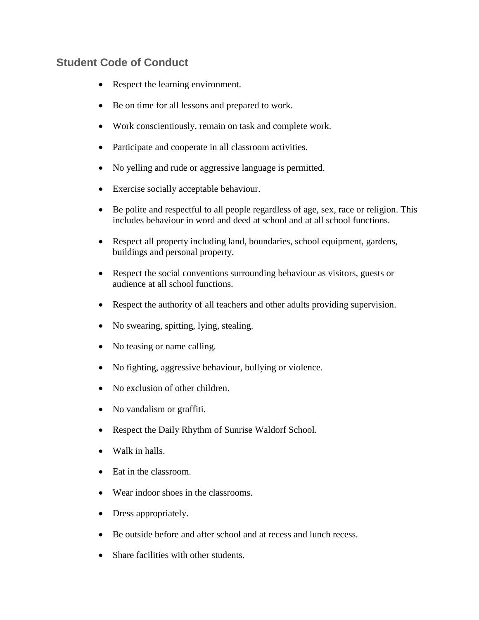# **Student Code of Conduct**

- Respect the learning environment.
- Be on time for all lessons and prepared to work.
- Work conscientiously, remain on task and complete work.
- Participate and cooperate in all classroom activities.
- No yelling and rude or aggressive language is permitted.
- Exercise socially acceptable behaviour.
- Be polite and respectful to all people regardless of age, sex, race or religion. This includes behaviour in word and deed at school and at all school functions.
- Respect all property including land, boundaries, school equipment, gardens, buildings and personal property.
- Respect the social conventions surrounding behaviour as visitors, guests or audience at all school functions.
- Respect the authority of all teachers and other adults providing supervision.
- No swearing, spitting, lying, stealing.
- No teasing or name calling.
- No fighting, aggressive behaviour, bullying or violence.
- No exclusion of other children.
- No vandalism or graffiti.
- Respect the Daily Rhythm of Sunrise Waldorf School.
- Walk in halls.
- Eat in the classroom.
- Wear indoor shoes in the classrooms.
- Dress appropriately.
- Be outside before and after school and at recess and lunch recess.
- Share facilities with other students.